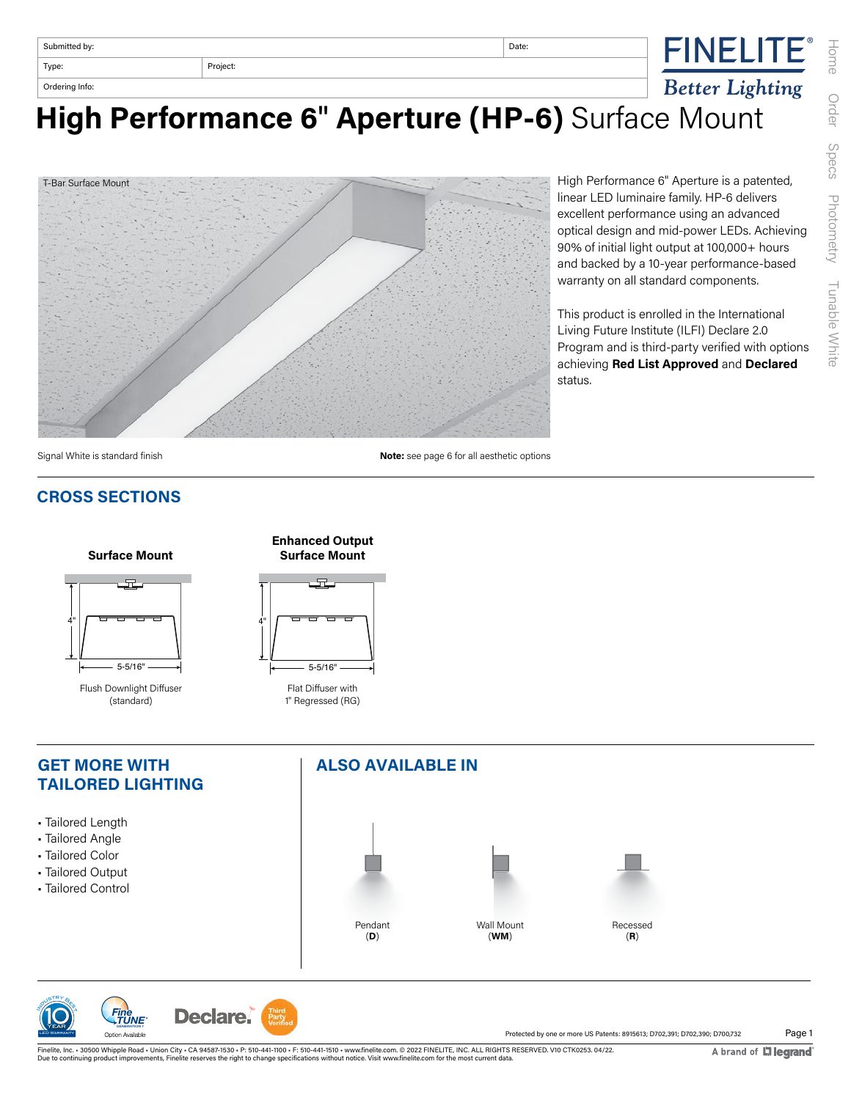| Submitted by:  |          | Date:                  | $\blacksquare$<br>INELIIE |
|----------------|----------|------------------------|---------------------------|
| Type:          | Project: |                        |                           |
| Ordering Info: |          | <b>Better Lighting</b> |                           |

**High Performance 6**" **Aperture (HP-6)** Surface Mount



High Performance 6" Aperture is a patented, linear LED luminaire family. HP-6 delivers excellent performance using an advanced optical design and mid-power LEDs. Achieving 90% of initial light output at 100,000+ hours and backed by a 10-year performance-based warranty on all standard components.

This product is enrolled in the International Living Future Institute (ILFI) Declare 2.0 Program and is third-party verified with options achieving **Red List Approved** and **Declared** status.

Signal White is standard finish

#### **CROSS SECTIONS**



**Surface Mount**

Flush Downlight Diffuser (standard)







**Note:** see page 6 for all aesthetic options

Declare. *Fine TUNE GENERATION 1* Option Available

**PUSTRY BEST** 

LED Warranty 1 Year  $\overline{\mathbf{Q}}$ 

Page 1 Protected by one or more US Patents: 8915613; D702,391; D702,390; D700,732

Finelite, Inc. • 30500 Whipple Road • Union City • CA 94587-1530 • P: 510-441-1100 • F: 510-441-1510 • www.finelite.com. © 2022 FINELITE, INC. ALL RIGHTS RESERVED. V10 CTK0253. 04/22.<br>Due to continuing product improvements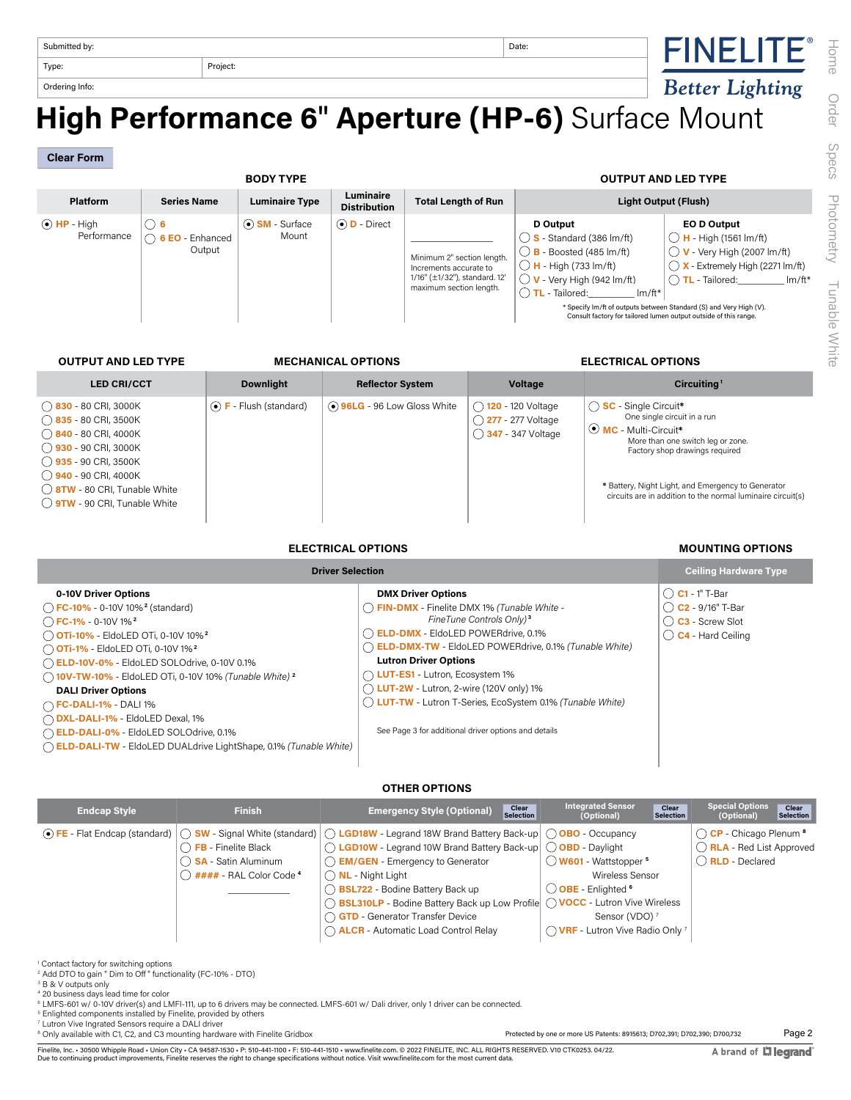| Date: |
|-------|
|       |

# **TOrdering Information Performance 6"** Aperture (HP-6) Surface Mount

**Clear Form**

| <b>BODY TYPE</b>                 |                                              |                               |                                  |                                                                                                                  | <b>OUTPUT AND LED TYPE</b>                                                                                                                                                                                                                                                             |                                                                                                                                                                                                                                             |
|----------------------------------|----------------------------------------------|-------------------------------|----------------------------------|------------------------------------------------------------------------------------------------------------------|----------------------------------------------------------------------------------------------------------------------------------------------------------------------------------------------------------------------------------------------------------------------------------------|---------------------------------------------------------------------------------------------------------------------------------------------------------------------------------------------------------------------------------------------|
| <b>Platform</b>                  | <b>Series Name</b>                           | <b>Luminaire Type</b>         | Luminaire<br><b>Distribution</b> | <b>Total Length of Run</b>                                                                                       |                                                                                                                                                                                                                                                                                        | Light Output (Flush)                                                                                                                                                                                                                        |
| $\odot$ HP - High<br>Performance | ( ) 6<br>$\bigcap$ 6 EO - Enhanced<br>Output | $\odot$ SM - Surface<br>Mount | $\odot$ <b>D</b> - Direct        | Minimum 2" section length.<br>Increments accurate to<br>1/16" (±1/32"), standard. 12'<br>maximum section length. | D Output<br>$\binom{36}{5}$ - Standard (386 lm/ft)<br>$()$ <b>B</b> - Boosted (485 lm/ft)<br>$\bigcap$ <b>H</b> - High (733 lm/ft)<br>$\bigcirc$ V - Very High (942 lm/ft)<br>$\bigcap$ TL - Tailored:<br>$Im/ft*$<br>Consult factory for tailored lumen output outside of this range. | EO D Output<br>$\bigcirc$ H - High (1561 lm/ft)<br>$\bigcirc$ V - Very High (2007 lm/ft)<br>$\bigcap$ X - Extremely High (2271 lm/ft)<br><b>TL</b> - Tailored: Im/ft*<br>* Specify Im/ft of outputs between Standard (S) and Very High (V). |

**OUTPUT AND LED TYPE MECHANICAL OPTIONS ELECTRICAL OPTIONS**

| <b>LED CRI/CCT</b>                                                                                                                                                                                                                                                    | <b>Downlight</b>                    | <b>Reflector System</b>     | Voltage                                                           | Circuiting <sup>1</sup>                                                                                                                                                                                                                                                            |
|-----------------------------------------------------------------------------------------------------------------------------------------------------------------------------------------------------------------------------------------------------------------------|-------------------------------------|-----------------------------|-------------------------------------------------------------------|------------------------------------------------------------------------------------------------------------------------------------------------------------------------------------------------------------------------------------------------------------------------------------|
| $\bigcap$ 830 - 80 CRI, 3000K<br>$\bigcap$ 835 - 80 CRI, 3500K<br>$\bigcirc$ 840 - 80 CRI, 4000K<br>$()$ 930 - 90 CRI, 3000K<br>( ) <b>935</b> - 90 CRI, 3500K<br>$()$ 940 - 90 CRI, 4000K<br>◯ 8TW - 80 CRI, Tunable White<br>$\bigcirc$ 9TW - 90 CRI, Tunable White | $\odot$ <b>F</b> - Flush (standard) | ⊙ 96LG - 96 Low Gloss White | ◯ 120 - 120 Voltage<br>◯ 277 - 277 Voltage<br>◯ 347 - 347 Voltage | $\bigcap$ SC - Single Circuit*<br>One single circuit in a run<br>O MC - Multi-Circuit*<br>More than one switch leg or zone.<br>Factory shop drawings required<br>* Battery, Night Light, and Emergency to Generator<br>circuits are in addition to the normal luminaire circuit(s) |

#### **ELECTRICAL OPTIONS MOUNTING OPTIONS**

| <b>Driver Selection</b>                                                                                                                                                                                                                                                                                                                                                                                                                                                                                                                                                    | <b>Ceiling Hardware Type</b>                                                                                                                                                                                                                                                                                                                                                                                                                                              |                                                                                                             |
|----------------------------------------------------------------------------------------------------------------------------------------------------------------------------------------------------------------------------------------------------------------------------------------------------------------------------------------------------------------------------------------------------------------------------------------------------------------------------------------------------------------------------------------------------------------------------|---------------------------------------------------------------------------------------------------------------------------------------------------------------------------------------------------------------------------------------------------------------------------------------------------------------------------------------------------------------------------------------------------------------------------------------------------------------------------|-------------------------------------------------------------------------------------------------------------|
| 0-10V Driver Options<br>$\bigcap$ FC-10% - 0-10V 10% <sup>2</sup> (standard)<br>$\bigcap$ FC-1% - 0-10V 1% <sup>2</sup><br>O OTi-10% - EldoLED OTi, 0-10V 10% <sup>2</sup><br><b>OTi-1%</b> - EldoLED OTi, 0-10V 1% <sup>2</sup><br>C ELD-10V-0% - EldoLED SOLOdrive, 0-10V 0.1%<br>10V-TW-10% - EldoLED OTi, 0-10V 10% (Tunable White) <sup>2</sup><br><b>DALI Driver Options</b><br>$\bigcap$ FC-DALI-1% - DALI 1%<br>◯ DXL-DALI-1% - EldoLED Dexal, 1%<br>C ELD-DALI-0% - EldoLED SOLOdrive, 0.1%<br>(DeLD-DALI-TW - EldoLED DUALdrive LightShape, 0.1% (Tunable White) | <b>DMX Driver Options</b><br>◯ FIN-DMX - Finelite DMX 1% (Tunable White -<br>FineTune Controls Only) <sup>3</sup><br>◯ <b>ELD-DMX</b> - EldoLED POWERdrive, 0.1%<br>C ELD-DMX-TW - EldoLED POWERdrive, 0.1% (Tunable White)<br><b>Lutron Driver Options</b><br>◯ LUT-ES1 - Lutron, Ecosystem 1%<br>$\bigcap$ LUT-2W - Lutron, 2-wire (120V only) 1%<br>( LUT-TW - Lutron T-Series, EcoSystem 0.1% (Tunable White)<br>See Page 3 for additional driver options and details | $\bigcap$ C1 - 1" T-Bar<br>$\bigcirc$ C2 - 9/16" T-Bar<br>◯ C3 - Screw Slot<br>$\bigcirc$ C4 - Hard Ceiling |

#### **OTHER OPTIONS**

| <b>Endcap Style</b> | <b>Finish</b>                                                                                           | Clear<br>Selection<br><b>Emergency Style (Optional)</b>                                                                                                                                                                                                                                                                                                                                                                                                                                             | <b>Integrated Sensor</b><br>Clear<br>Selection<br>(Optional)                                                                             | <b>Special Options</b><br>Clear<br><b>Selection</b><br>(Optional)                                   |
|---------------------|---------------------------------------------------------------------------------------------------------|-----------------------------------------------------------------------------------------------------------------------------------------------------------------------------------------------------------------------------------------------------------------------------------------------------------------------------------------------------------------------------------------------------------------------------------------------------------------------------------------------------|------------------------------------------------------------------------------------------------------------------------------------------|-----------------------------------------------------------------------------------------------------|
|                     | $\bigcap$ FB - Finelite Black<br>◯ <b>SA</b> - Satin Aluminum<br>$\binom{1}{2}$ #### - RAL Color Code 4 | $\odot$ FE - Flat Endcap (standard) $\odot$ SW - Signal White (standard) $\odot$ LGD18W - Legrand 18W Brand Battery Back-up $\odot$ OBO - Occupancy<br>◯ LGD10W - Legrand 10W Brand Battery Back-up ◯ OBD - Daylight<br>$\bigcap$ <b>EM/GEN</b> - Emergency to Generator<br>$\bigcap$ NL - Night Light<br>BSL722 - Bodine Battery Back up<br>◯ BSL310LP - Bodine Battery Back up Low Profile (VOCC - Lutron Vive Wireless<br>GTD - Generator Transfer Device<br>ALCR - Automatic Load Control Relay | W601 - Wattstopper <sup>5</sup><br>Wireless Sensor<br>OBE - Enlighted 6<br>Sensor (VDO) <sup>7</sup><br>◯ VRF - Lutron Vive Radio Only 7 | ○ CP - Chicago Plenum <sup>8</sup><br>$\bigcap$ RLA - Red List Approved<br>() <b>RLD</b> - Declared |

<sup>1</sup> Contact factory for switching options

2 Add DTO to gain " Dim to Off " functionality (FC-10% - DTO)

3 B & V outputs only 4 20 business days lead time for color

6 LMFS-601 w/ 0-10V driver(s) and LMFI-111, up to 6 drivers may be connected. LMFS-601 w/ Dali driver, only 1 driver can be connected.

5 Enlighted components installed by Finelite, provided by others

7 Lutron Vive Ingrated Sensors require a DALI driver

<sup>8</sup> Only available with C1, C2, and C3 mounting hardware with Finelite Gridbox

Finelite, Inc. • 30500 Whipple Road • Union City • CA 94587-1530 • P: 510-441-1100 • F: 510-441-1510 • www.finelite.com. © 2022 FINELITE, INC. ALL RIGHTS RESERVED. V10 CTK0253. 04/22.<br>Due to continuing product improvements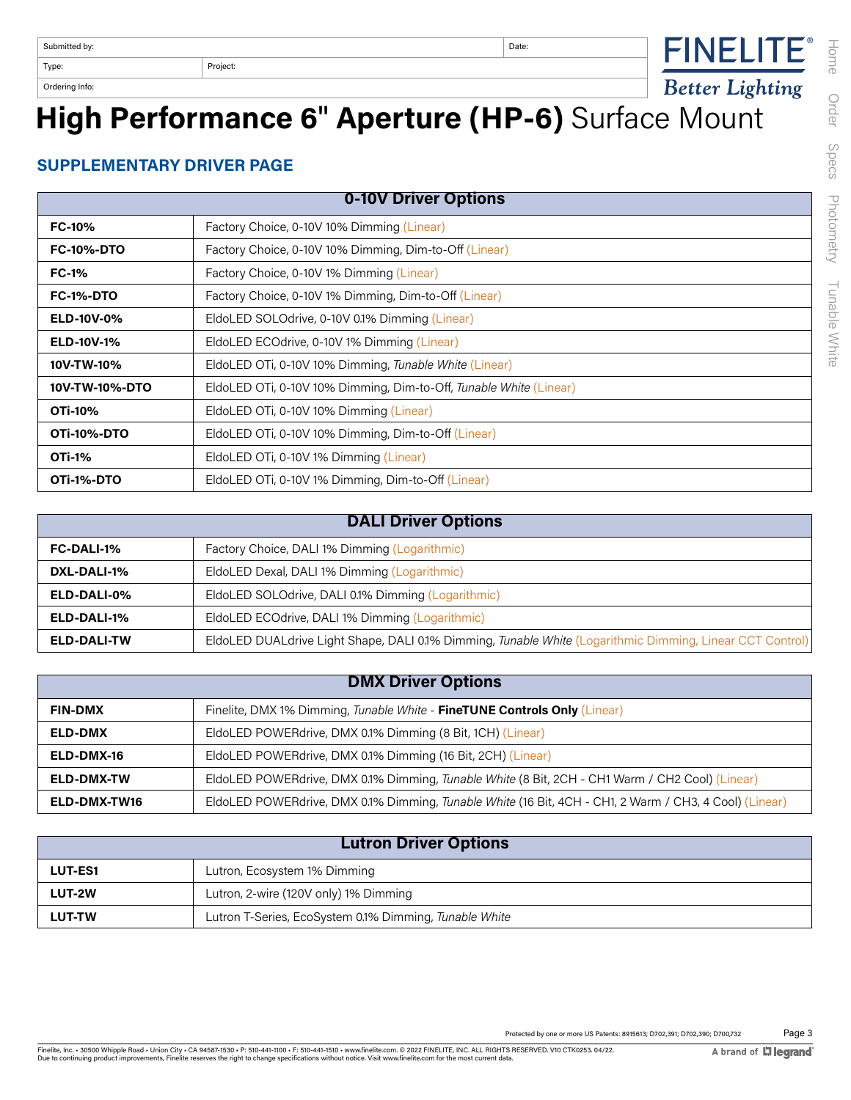# **Experimg Informance 6<sup>"</sup> Aperture (HP-6)** Surface Mount

### **SUPPLEMENTARY DRIVER PAGE**

| 0-10V Driver Options |                                                                    |  |  |  |
|----------------------|--------------------------------------------------------------------|--|--|--|
| <b>FC-10%</b>        | Factory Choice, 0-10V 10% Dimming (Linear)                         |  |  |  |
| <b>FC-10%-DTO</b>    | Factory Choice, 0-10V 10% Dimming, Dim-to-Off (Linear)             |  |  |  |
| <b>FC-1%</b>         | Factory Choice, 0-10V 1% Dimming (Linear)                          |  |  |  |
| <b>FC-1%-DTO</b>     | Factory Choice, 0-10V 1% Dimming, Dim-to-Off (Linear)              |  |  |  |
| <b>ELD-10V-0%</b>    | EldoLED SOLOdrive, 0-10V 0.1% Dimming (Linear)                     |  |  |  |
| <b>ELD-10V-1%</b>    | EldoLED ECOdrive, 0-10V 1% Dimming (Linear)                        |  |  |  |
| 10V-TW-10%           | EldoLED OTi, 0-10V 10% Dimming, Tunable White (Linear)             |  |  |  |
| 10V-TW-10%-DTO       | EldoLED OTi, 0-10V 10% Dimming, Dim-to-Off, Tunable White (Linear) |  |  |  |
| OTi-10%              | EldoLED OTi, 0-10V 10% Dimming (Linear)                            |  |  |  |
| <b>OTi-10%-DTO</b>   | EldoLED OTi, 0-10V 10% Dimming, Dim-to-Off (Linear)                |  |  |  |
| <b>OTi-1%</b>        | EldoLED OTi, 0-10V 1% Dimming (Linear)                             |  |  |  |
| OTi-1%-DTO           | EldoLED OTi, 0-10V 1% Dimming, Dim-to-Off (Linear)                 |  |  |  |

| <b>DALI Driver Options</b> |                                                                                                           |  |  |
|----------------------------|-----------------------------------------------------------------------------------------------------------|--|--|
| <b>FC-DALI-1%</b>          | Factory Choice, DALI 1% Dimming (Logarithmic)                                                             |  |  |
| DXL-DALI-1%                | EldoLED Dexal, DALI 1% Dimming (Logarithmic)                                                              |  |  |
| ELD-DALI-0%                | EldoLED SOLOdrive, DALI 0.1% Dimming (Logarithmic)                                                        |  |  |
| ELD-DALI-1%                | EldoLED ECOdrive, DALI 1% Dimming (Logarithmic)                                                           |  |  |
| ELD-DALI-TW                | EldoLED DUALdrive Light Shape, DALI 0.1% Dimming, Tunable White (Logarithmic Dimming, Linear CCT Control) |  |  |

| <b>DMX Driver Options</b> |                                                                                                        |  |  |
|---------------------------|--------------------------------------------------------------------------------------------------------|--|--|
| <b>FIN-DMX</b>            | Finelite, DMX 1% Dimming, Tunable White - FineTUNE Controls Only (Linear)                              |  |  |
| <b>ELD-DMX</b>            | EldoLED POWERdrive, DMX 0.1% Dimming (8 Bit, 1CH) (Linear)                                             |  |  |
| ELD-DMX-16                | EldoLED POWERdrive, DMX 0.1% Dimming (16 Bit, 2CH) (Linear)                                            |  |  |
| <b>ELD-DMX-TW</b>         | EldoLED POWERdrive, DMX 0.1% Dimming, Tunable White (8 Bit, 2CH - CH1 Warm / CH2 Cool) (Linear)        |  |  |
| ELD-DMX-TW16              | EldoLED POWERdrive, DMX 0.1% Dimming, Tunable White (16 Bit, 4CH - CH1, 2 Warm / CH3, 4 Cool) (Linear) |  |  |

| <b>Lutron Driver Options</b>                                            |                                       |  |
|-------------------------------------------------------------------------|---------------------------------------|--|
| <b>LUT-ES1</b>                                                          | Lutron, Ecosystem 1% Dimming          |  |
| <b>LUT-2W</b>                                                           | Lutron, 2-wire (120V only) 1% Dimming |  |
| Lutron T-Series, EcoSystem 0.1% Dimming, Tunable White<br><b>LUT-TW</b> |                                       |  |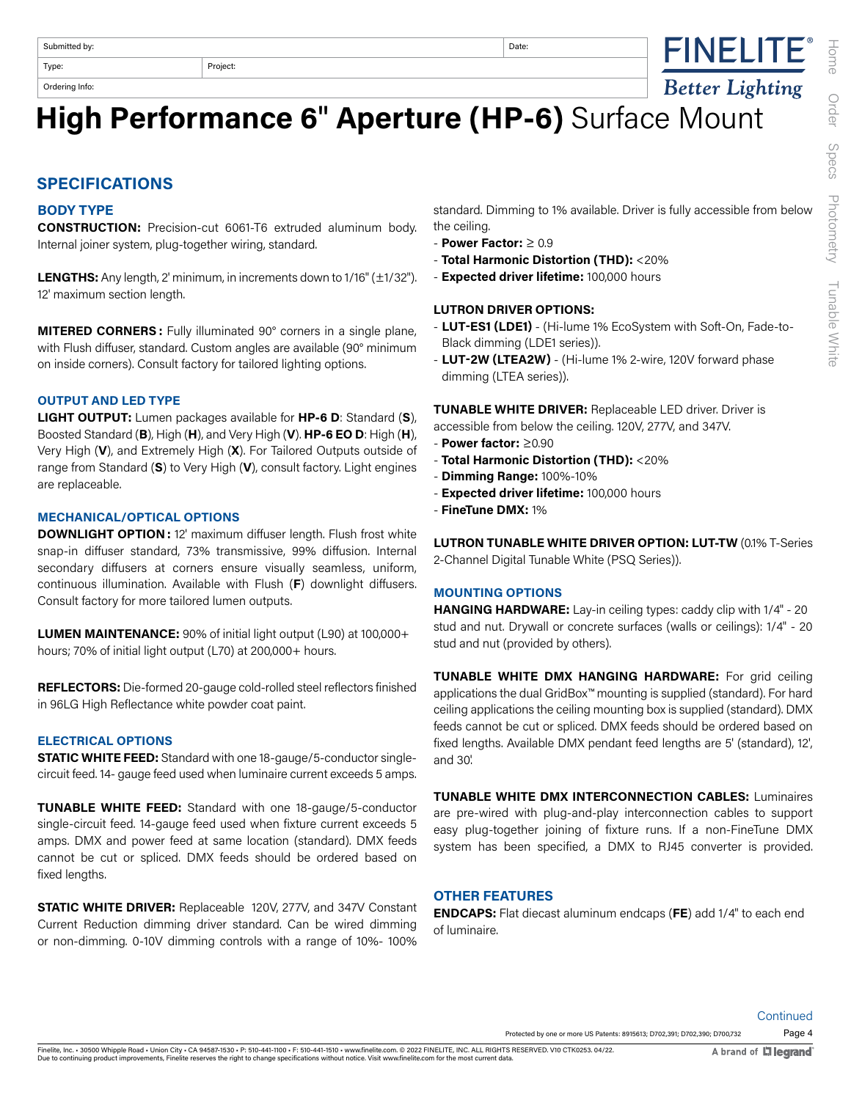Ordering Info:

## **High Performance 6**" **Aperture (HP-6)** Surface Mount

#### **SPECIFICATIONS**

#### **BODY TYPE**

**CONSTRUCTION:** Precision-cut 6061-T6 extruded aluminum body. Internal joiner system, plug-together wiring, standard.

**LENGTHS:** Any length, 2' minimum, in increments down to 1/16" (±1/32"). 12' maximum section length.

**MITERED CORNERS :** Fully illuminated 90° corners in a single plane, with Flush diffuser, standard. Custom angles are available (90° minimum on inside corners). Consult factory for tailored lighting options.

#### **OUTPUT AND LED TYPE**

**LIGHT OUTPUT:** Lumen packages available for **HP-6 D**: Standard (**S**), Boosted Standard (**B**), High (**H**), and Very High (**V**). **HP-6 EO D**: High (**H**), Very High (**V**), and Extremely High (**X**). For Tailored Outputs outside of range from Standard (**S**) to Very High (**V**), consult factory. Light engines are replaceable.

#### **MECHANICAL/OPTICAL OPTIONS**

**DOWNLIGHT OPTION :** 12' maximum diffuser length. Flush frost white snap-in diffuser standard, 73% transmissive, 99% diffusion. Internal secondary diffusers at corners ensure visually seamless, uniform, continuous illumination. Available with Flush (**F**) downlight diffusers. Consult factory for more tailored lumen outputs.

**LUMEN MAINTENANCE:** 90% of initial light output (L90) at 100,000+ hours; 70% of initial light output (L70) at 200,000+ hours.

**REFLECTORS:** Die-formed 20-gauge cold-rolled steel reflectors finished in 96LG High Reflectance white powder coat paint.

#### **ELECTRICAL OPTIONS**

**STATIC WHITE FEED:** Standard with one 18-gauge/5-conductor singlecircuit feed. 14- gauge feed used when luminaire current exceeds 5 amps.

**TUNABLE WHITE FEED:** Standard with one 18-gauge/5-conductor single-circuit feed. 14-gauge feed used when fixture current exceeds 5 amps. DMX and power feed at same location (standard). DMX feeds cannot be cut or spliced. DMX feeds should be ordered based on fixed lengths.

**STATIC WHITE DRIVER:** Replaceable 120V, 277V, and 347V Constant Current Reduction dimming driver standard. Can be wired dimming or non-dimming. 0-10V dimming controls with a range of 10%- 100%

standard. Dimming to 1% available. Driver is fully accessible from below the ceiling.

- **Power Factor:** ≥ 0.9
- **Total Harmonic Distortion (THD):** <20%
- **Expected driver lifetime:** 100,000 hours

#### **LUTRON DRIVER OPTIONS:**

- **LUT-ES1 (LDE1)** (Hi-lume 1% EcoSystem with Soft-On, Fade-to-Black dimming (LDE1 series)).
- **LUT-2W (LTEA2W)** (Hi-lume 1% 2-wire, 120V forward phase dimming (LTEA series)).

**TUNABLE WHITE DRIVER:** Replaceable LED driver. Driver is accessible from below the ceiling. 120V, 277V, and 347V.

- **Power factor:** ≥0.90
- **Total Harmonic Distortion (THD):** <20%
- **Dimming Range:** 100%-10%
- **Expected driver lifetime:** 100,000 hours
- **FineTune DMX:** 1%

**LUTRON TUNABLE WHITE DRIVER OPTION: LUT-TW** (0.1% T-Series 2-Channel Digital Tunable White (PSQ Series)).

#### **MOUNTING OPTIONS**

**HANGING HARDWARE:** Lay-in ceiling types: caddy clip with 1/4" - 20 stud and nut. Drywall or concrete surfaces (walls or ceilings): 1/4" - 20 stud and nut (provided by others).

**TUNABLE WHITE DMX HANGING HARDWARE:** For grid ceiling applications the dual GridBox™ mounting is supplied (standard). For hard ceiling applications the ceiling mounting box is supplied (standard). DMX feeds cannot be cut or spliced. DMX feeds should be ordered based on fixed lengths. Available DMX pendant feed lengths are 5' (standard), 12', and 30'.

**TUNABLE WHITE DMX INTERCONNECTION CABLES:** Luminaires are pre-wired with plug-and-play interconnection cables to support easy plug-together joining of fixture runs. If a non-FineTune DMX system has been specified, a DMX to RJ45 converter is provided.

#### **OTHER FEATURES**

**ENDCAPS:** Flat diecast aluminum endcaps (**FE**) add 1/4" to each end of luminaire.

Page 4 Protected by one or more US Patents: 8915613; D702,391; D702,390; D700,732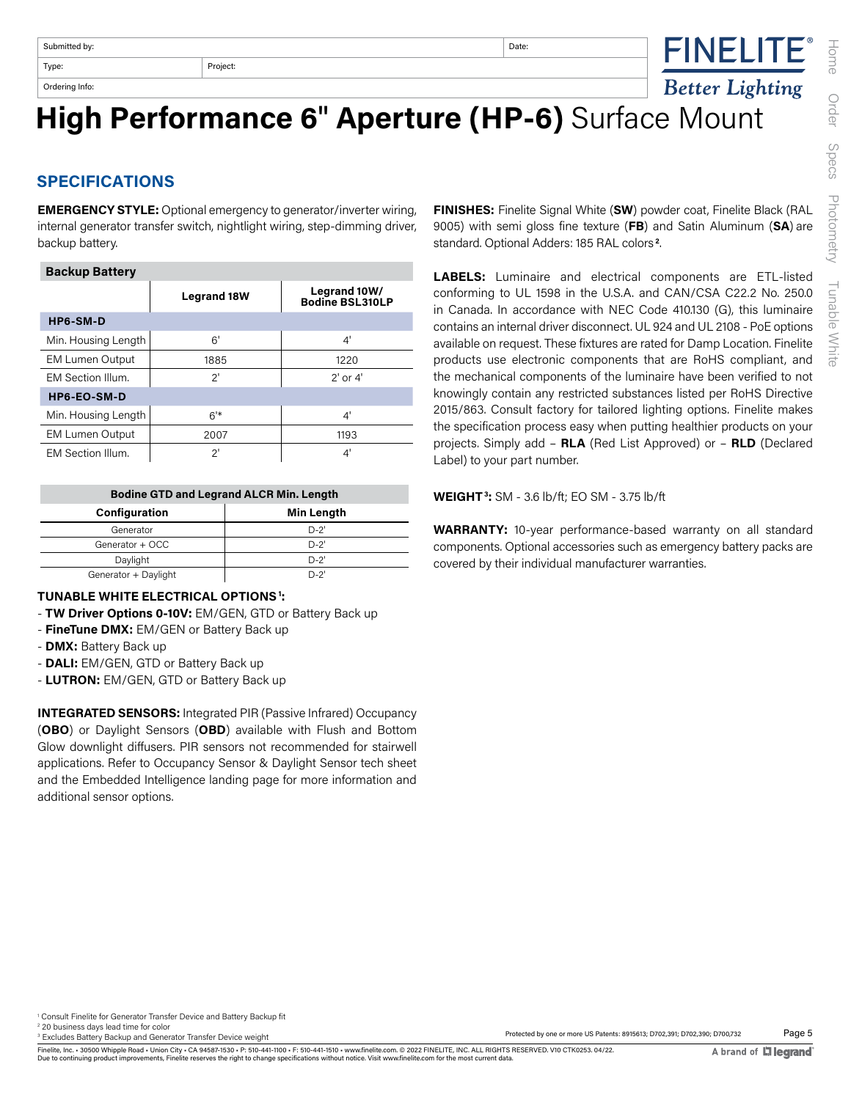Ordering Info:



## **High Performance 6**" **Aperture (HP-6)** Surface Mount

### **SPECIFICATIONS**

**EMERGENCY STYLE:** Optional emergency to generator/inverter wiring, internal generator transfer switch, nightlight wiring, step-dimming driver, backup battery.

| <b>Backup Battery</b>  |                    |                                        |  |  |
|------------------------|--------------------|----------------------------------------|--|--|
|                        | <b>Legrand 18W</b> | Legrand 10W/<br><b>Bodine BSL310LP</b> |  |  |
| HP6-SM-D               |                    |                                        |  |  |
| Min. Housing Length    | 6'                 | 4'                                     |  |  |
| <b>EM Lumen Output</b> | 1885               | 1220                                   |  |  |
| EM Section Illum.      | 2'                 | $2'$ or $4'$                           |  |  |
| HP6-EO-SM-D            |                    |                                        |  |  |
| Min. Housing Length    | 6'                 | 4'                                     |  |  |
| <b>EM Lumen Output</b> | 2007               | 1193                                   |  |  |
| EM Section Illum.      | 2'                 | 4'                                     |  |  |

| <b>Bodine GTD and Legrand ALCR Min. Length</b> |        |  |  |
|------------------------------------------------|--------|--|--|
| <b>Min Length</b><br><b>Configuration</b>      |        |  |  |
| Generator                                      | $D-2'$ |  |  |
| Generator + OCC                                | $D-2'$ |  |  |
| Daylight                                       | $D-2'$ |  |  |
| Generator + Daylight                           | D-2'   |  |  |

#### **TUNABLE WHITE ELECTRICAL OPTIONS 1:**

- **TW Driver Options 0-10V:** EM/GEN, GTD or Battery Back up
- **FineTune DMX:** EM/GEN or Battery Back up
- **DMX:** Battery Back up
- **DALI:** EM/GEN, GTD or Battery Back up
- **LUTRON:** EM/GEN, GTD or Battery Back up

**INTEGRATED SENSORS:** Integrated PIR (Passive Infrared) Occupancy (**OBO**) or Daylight Sensors (**OBD**) available with Flush and Bottom Glow downlight diffusers. PIR sensors not recommended for stairwell applications. Refer to Occupancy Sensor & Daylight Sensor tech sheet and the Embedded Intelligence landing page for more information and additional sensor options.

**FINISHES:** Finelite Signal White (**SW**) powder coat, Finelite Black (RAL 9005) with semi gloss fine texture (**FB**) and Satin Aluminum (**SA**) are standard. Optional Adders: 185 RAL colors **2**.

**LABELS:** Luminaire and electrical components are ETL-listed conforming to UL 1598 in the U.S.A. and CAN/CSA C22.2 No. 250.0 in Canada. In accordance with NEC Code 410.130 (G), this luminaire contains an internal driver disconnect. UL 924 and UL 2108 - PoE options available on request. These fixtures are rated for Damp Location. Finelite products use electronic components that are RoHS compliant, and the mechanical components of the luminaire have been verified to not knowingly contain any restricted substances listed per RoHS Directive 2015/863. Consult factory for tailored lighting options. Finelite makes the specification process easy when putting healthier products on your projects. Simply add – **RLA** (Red List Approved) or – **RLD** (Declared Label) to your part number.

**WEIGHT 3:** SM - 3.6 lb/ft; EO SM - 3.75 lb/ft

**WARRANTY:** 10-year performance-based warranty on all standard components. Optional accessories such as emergency battery packs are covered by their individual manufacturer warranties.

1 Consult Finelite for Generator Transfer Device and Battery Backup fit

20 business days lead time for color

<sup>3</sup> Excludes Battery Backup and Generator Transfer Device weight

Page 5 Protected by one or more US Patents: 8915613; D702,391; D702,390; D700,732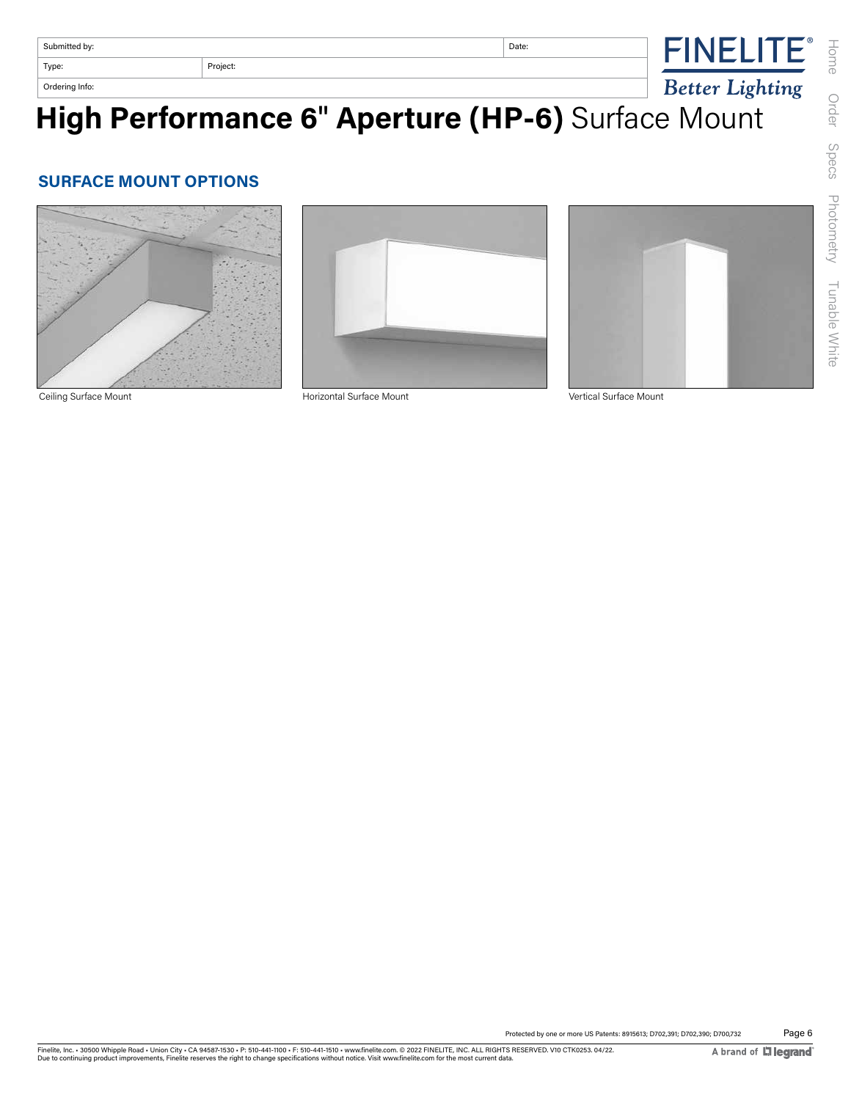| Submitted by:     |  | Date:<br>. |                                                     |
|-------------------|--|------------|-----------------------------------------------------|
| Type:<br>Project: |  |            |                                                     |
| Ordering Info:    |  |            | <b>Lighting</b><br>ottor<br>$\boldsymbol{\nu}$ cici |

**High Performance 6**" **Aperture (HP-6)** Surface Mount

#### **SURFACE MOUNT OPTIONS**





Ceiling Surface Mount Horizontal Surface Mount Vertical Surface Mount

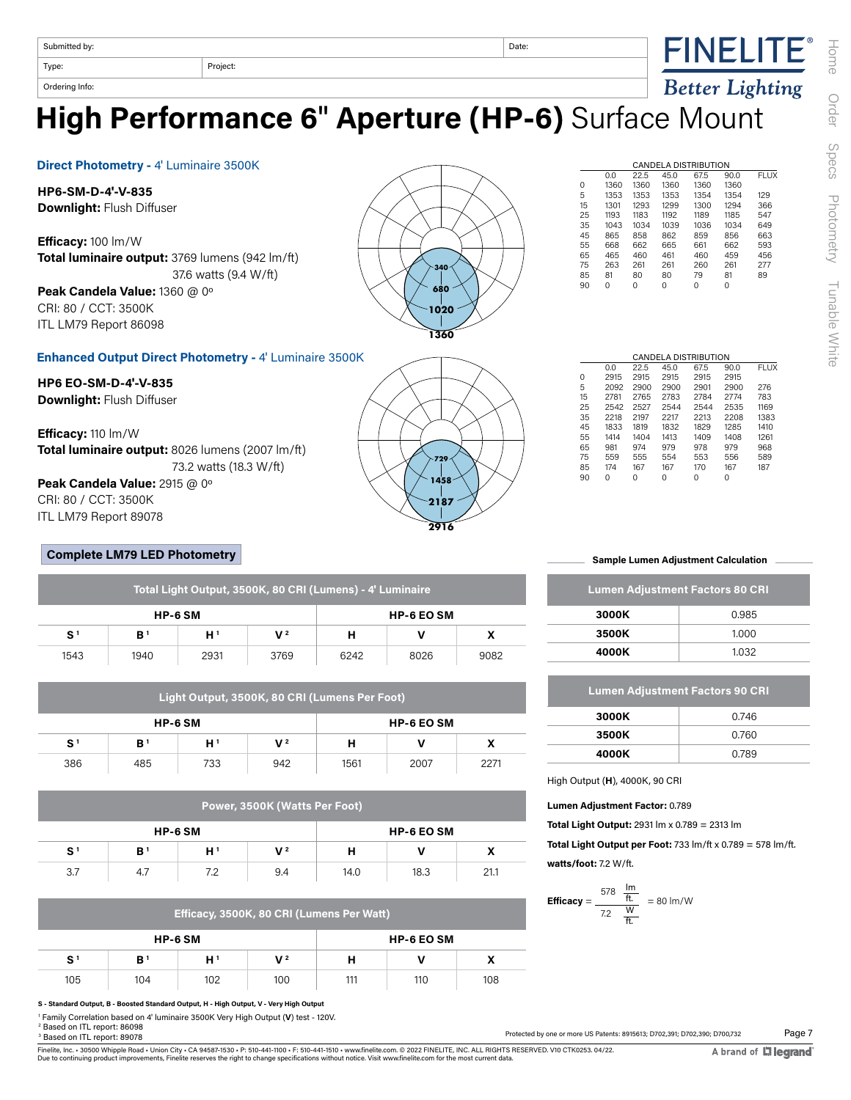Submitted by: Date:



Type: Project:

**Direct Photometry -** 4' Luminaire 3500K

Ordering Info:

**HP6-SM-D-4'-V-835 Downlight:** Flush Diffuser

**Enhanced Output Direct Photometry -** 4' Luminaire 3500K

**HP6 EO-SM-D-4'-V-835 Downlight:** Flush Diffuser

**Efficacy:** 110 lm/W **Total luminaire output:** 8026 lumens (2007 lm/ft) 73.2 watts (18.3 W/ft)

**Peak Candela Value:** 2915 @ 0º CRI: 80 / CCT: 3500K ITL LM79 Report 89078

#### **Complete LM79 LED Photometry**

| Total Light Output, 3500K, 80 CRI (Lumens) - 4' Luminaire |                |      |                |                   |      |      |  |
|-----------------------------------------------------------|----------------|------|----------------|-------------------|------|------|--|
| <b>HP-6 SM</b>                                            |                |      |                | <b>HP-6 EO SM</b> |      |      |  |
| S <sup>1</sup>                                            | B <sup>1</sup> | H١   | V <sup>2</sup> | н                 |      |      |  |
| 1543                                                      | 1940           | 2931 | 3769           | 6242              | 8026 | 9082 |  |

| Light Output, 3500K, 80 CRI (Lumens Per Foot) |                |     |     |                   |      |      |  |  |
|-----------------------------------------------|----------------|-----|-----|-------------------|------|------|--|--|
| <b>HP-6 SM</b>                                |                |     |     | <b>HP-6 EO SM</b> |      |      |  |  |
| S <sup>1</sup>                                | B <sup>1</sup> | H ' | V 2 | н                 |      |      |  |  |
| 386                                           | 485            | 733 | 942 | 1561              | 2007 | 2271 |  |  |

| Power, 3500K (Watts Per Foot) |                |                |                   |      |      |      |  |
|-------------------------------|----------------|----------------|-------------------|------|------|------|--|
| <b>HP-6 SM</b>                |                |                | <b>HP-6 EO SM</b> |      |      |      |  |
| S <sup>1</sup>                | B <sup>1</sup> | H <sup>1</sup> | $V^2$             | н    |      |      |  |
| 3.7                           | 4.7            | 7.2            | 9.4               | 14.0 | 18.3 | 21.1 |  |

|  |  |  | Efficacy, 3500K, 80 CRI (Lumens Per Watt) |  |
|--|--|--|-------------------------------------------|--|
|--|--|--|-------------------------------------------|--|

| HP-6 SM        |     |     |     | <b>HP-6 EO SM</b> |     |                            |
|----------------|-----|-----|-----|-------------------|-----|----------------------------|
| S <sup>1</sup> | B'  | н'  | V2  |                   |     | $\boldsymbol{\mathcal{L}}$ |
| 105            | 104 | 102 | 100 | 111               | 110 | 108                        |

**S - Standard Output, B - Boosted Standard Output, H - High Output, V - Very High Output**

1 Family Correlation based on 4' luminaire 3500K Very High Output (**V**) test - 120V.

2 Based on ITL report: 86098

3 Based on ITL report: 89078



**2187 2916**

**1458 729**

**High Performance 6**" **Aperture (HP-6)** Surface Mount

| 15 | 1301 | 1293 | 1299 | 1300 | 1294 | 366 |
|----|------|------|------|------|------|-----|
| 25 | 1193 | 1183 | 1192 | 1189 | 1185 | 547 |
| 35 | 1043 | 1034 | 1039 | 1036 | 1034 | 649 |
| 45 | 865  | 858  | 862  | 859  | 856  | 663 |
| 55 | 668  | 662  | 665  | 661  | 662  | 593 |
| 65 | 465  | 460  | 461  | 460  | 459  | 456 |
| 75 | 263  | 261  | 261  | 260  | 261  | 277 |
| 85 | 81   | 80   | 80   | 79   | 81   | 89  |
| 90 | 0    | 0    | 0    | 0    | 0    |     |
|    |      |      |      |      |      |     |
|    |      |      |      |      |      |     |
|    |      |      |      |      |      |     |
|    |      |      |      |      |      |     |
|    |      |      |      |      |      |     |
|    |      |      |      |      |      |     |

CANDELA DISTRIBUTION

CANDELA DISTRIBUTION<br>22.5 45.0 67.5 90.0 0.0 22.5 45.0 67.5 90.0 FLUX

**FINELITE®** 

Better Lighting

0 1360 1360 1360 1360 1360 5 1353 1353 1353 1354 1354 129

|          |      |      |      | CANDELA DISTRIBUTION |      |             |
|----------|------|------|------|----------------------|------|-------------|
|          | 0.0  | 22.5 | 45.0 | 67.5                 | 90.0 | <b>FLUX</b> |
| $\Omega$ | 2915 | 2915 | 2915 | 2915                 | 2915 |             |
| 5        | 2092 | 2900 | 2900 | 2901                 | 2900 | 276         |
| 15       | 2781 | 2765 | 2783 | 2784                 | 2774 | 783         |
| 25       | 2542 | 2527 | 2544 | 2544                 | 2535 | 1169        |
| 35       | 2218 | 2197 | 2217 | 2213                 | 2208 | 1383        |
| 45       | 1833 | 1819 | 1832 | 1829                 | 1285 | 1410        |
| 55       | 1414 | 1404 | 1413 | 1409                 | 1408 | 1261        |
| 65       | 981  | 974  | 979  | 978                  | 979  | 968         |
| 75       | 559  | 555  | 554  | 553                  | 556  | 589         |
| 85       | 174  | 167  | 167  | 170                  | 167  | 187         |
| 90       | 0    | 0    | 0    | 0                    | 0    |             |
|          |      |      |      |                      |      |             |

**Sample Lumen Adjustment Calculation**

| <b>Lumen Adjustment Factors 80 CRI</b> |       |  |  |  |  |
|----------------------------------------|-------|--|--|--|--|
| 3000K                                  | 0.985 |  |  |  |  |
| 3500K                                  | 1.000 |  |  |  |  |
| 4000K                                  | 1.032 |  |  |  |  |

| <b>Lumen Adjustment Factors 90 CRI</b> |       |  |  |  |  |
|----------------------------------------|-------|--|--|--|--|
| 3000K                                  | 0.746 |  |  |  |  |
| 3500K                                  | 0.760 |  |  |  |  |
| 4000K                                  | 0.789 |  |  |  |  |

High Output (**H**), 4000K, 90 CRI

**Lumen Adjustment Factor:** 0.789

**Total Light Output:** 2931 lm x 0.789 = 2313 lm

**Total Light Output per Foot:** 733 lm/ft x 0.789 = 578 lm/ft. **watts/foot:** 7.2 W/ft.

**Efficacy** = 
$$
\frac{578 \frac{\text{lm}}{\text{ft.}}}{7.2 \frac{\text{W}}{\text{ft.}}} = 80 \text{ lm/W}
$$

Protected by one or more US Patents: 8915613; D702,391; D702,390; D700,732

Finelite, Inc. • 30500 Whipple Road • Union City • CA 94587-1530 • P: 510-441-1100 • F: 510-441-1510 • www.finelite.com. © 2022 FINELITE, INC. ALL RIGHTS RESERVED. V10 CTK0253. 04/22.<br>Due to continuing product improvements

Page 7